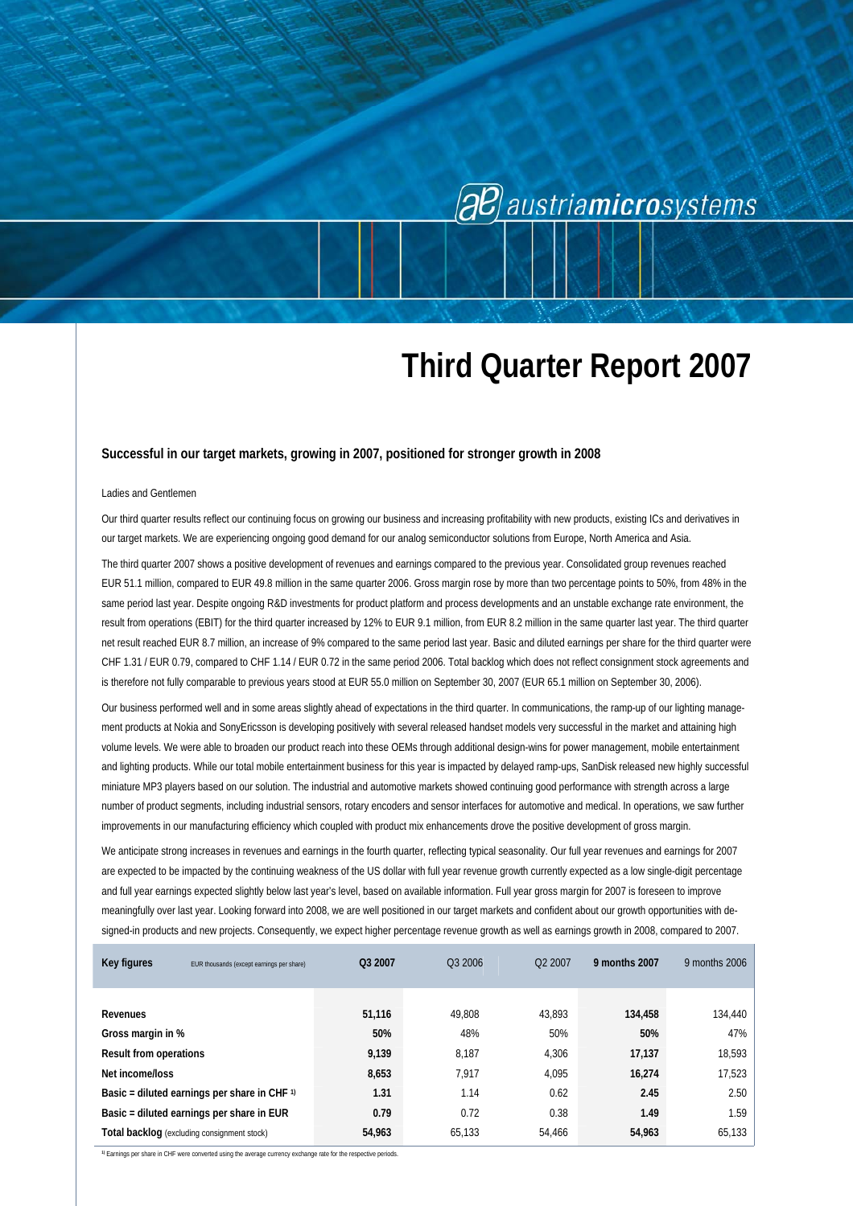# **al** austria**micro**systems

## **Third Quarter Report 2007**

#### **Successful in our target markets, growing in 2007, positioned for stronger growth in 2008**

#### Ladies and Gentlemen

Our third quarter results reflect our continuing focus on growing our business and increasing profitability with new products, existing ICs and derivatives in our target markets. We are experiencing ongoing good demand for our analog semiconductor solutions from Europe, North America and Asia.

The third quarter 2007 shows a positive development of revenues and earnings compared to the previous year. Consolidated group revenues reached EUR 51.1 million, compared to EUR 49.8 million in the same quarter 2006. Gross margin rose by more than two percentage points to 50%, from 48% in the same period last year. Despite ongoing R&D investments for product platform and process developments and an unstable exchange rate environment, the result from operations (EBIT) for the third quarter increased by 12% to EUR 9.1 million, from EUR 8.2 million in the same quarter last year. The third quarter net result reached EUR 8.7 million, an increase of 9% compared to the same period last year. Basic and diluted earnings per share for the third quarter were CHF 1.31 / EUR 0.79, compared to CHF 1.14 / EUR 0.72 in the same period 2006. Total backlog which does not reflect consignment stock agreements and is therefore not fully comparable to previous years stood at EUR 55.0 million on September 30, 2007 (EUR 65.1 million on September 30, 2006).

Our business performed well and in some areas slightly ahead of expectations in the third quarter. In communications, the ramp-up of our lighting management products at Nokia and SonyEricsson is developing positively with several released handset models very successful in the market and attaining high volume levels. We were able to broaden our product reach into these OEMs through additional design-wins for power management, mobile entertainment and lighting products. While our total mobile entertainment business for this year is impacted by delayed ramp-ups, SanDisk released new highly successful miniature MP3 players based on our solution. The industrial and automotive markets showed continuing good performance with strength across a large number of product segments, including industrial sensors, rotary encoders and sensor interfaces for automotive and medical. In operations, we saw further improvements in our manufacturing efficiency which coupled with product mix enhancements drove the positive development of gross margin.

We anticipate strong increases in revenues and earnings in the fourth quarter, reflecting typical seasonality. Our full year revenues and earnings for 2007 are expected to be impacted by the continuing weakness of the US dollar with full year revenue growth currently expected as a low single-digit percentage and full year earnings expected slightly below last year's level, based on available information. Full year gross margin for 2007 is foreseen to improve meaningfully over last year. Looking forward into 2008, we are well positioned in our target markets and confident about our growth opportunities with designed-in products and new projects. Consequently, we expect higher percentage revenue growth as well as earnings growth in 2008, compared to 2007.

| Key figures                                          | EUR thousands (except earnings per share)          | Q3 2007 | Q3 2006 | O <sub>2</sub> 2007 | 9 months 2007 | 9 months 2006 |
|------------------------------------------------------|----------------------------------------------------|---------|---------|---------------------|---------------|---------------|
|                                                      |                                                    |         |         |                     |               |               |
|                                                      |                                                    |         |         |                     |               |               |
| Revenues                                             |                                                    | 51,116  | 49.808  | 43.893              | 134,458       | 134,440       |
| Gross margin in %                                    |                                                    | 50%     | 48%     | 50%                 | 50%           | 47%           |
| <b>Result from operations</b>                        |                                                    | 9,139   | 8.187   | 4.306               | 17,137        | 18,593        |
| Net income/loss                                      |                                                    | 8,653   | 7.917   | 4,095               | 16,274        | 17,523        |
| Basic = diluted earnings per share in CHF $\upsilon$ |                                                    | 1.31    | 1.14    | 0.62                | 2.45          | 2.50          |
| Basic = diluted earnings per share in EUR            |                                                    | 0.79    | 0.72    | 0.38                | 1.49          | 1.59          |
|                                                      | <b>Total backlog</b> (excluding consignment stock) | 54,963  | 65,133  | 54.466              | 54,963        | 65,133        |

**1)** Earnings per share in CHF were converted using the average currency exchange rate for the respective periods.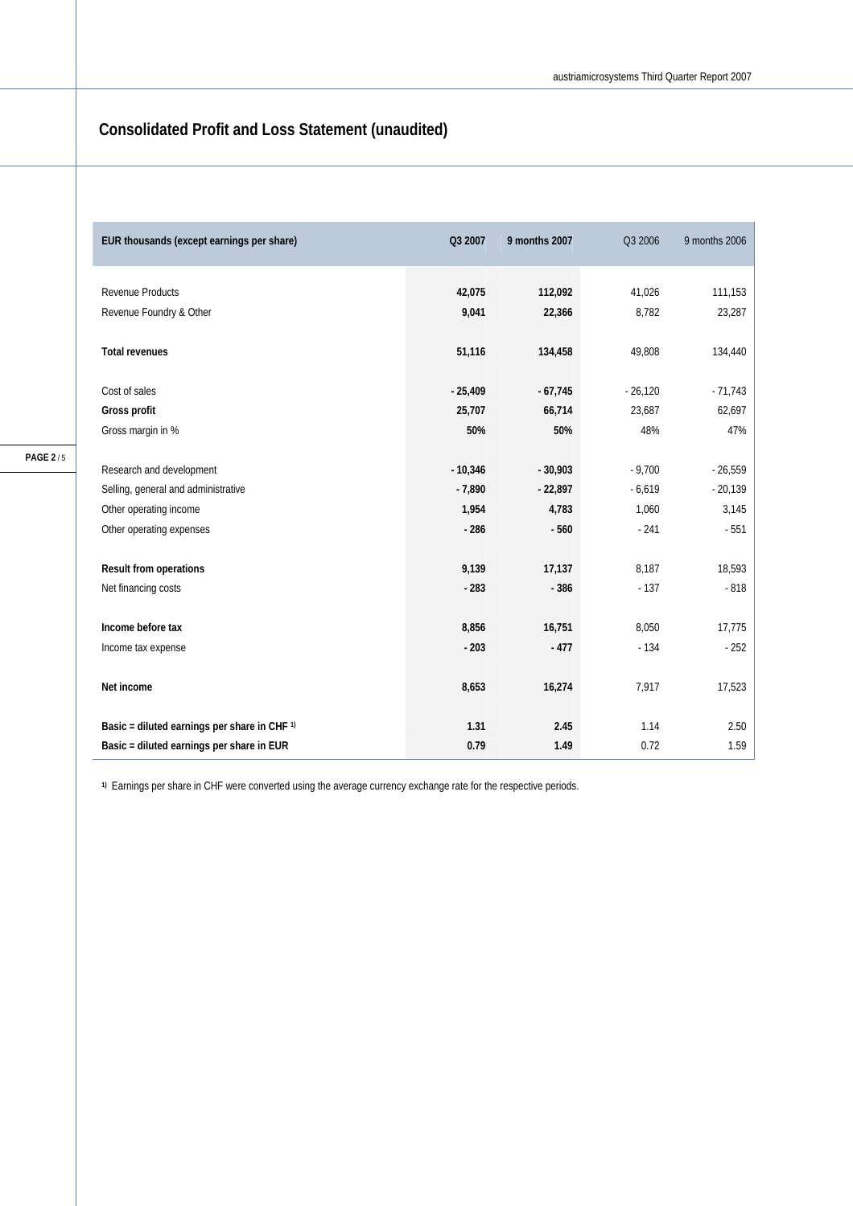### **Consolidated Profit and Loss Statement (unaudited)**

| EUR thousands (except earnings per share)               | Q3 2007   | 9 months 2007 | Q3 2006   | 9 months 2006 |
|---------------------------------------------------------|-----------|---------------|-----------|---------------|
| <b>Revenue Products</b>                                 | 42,075    | 112,092       | 41,026    | 111,153       |
| Revenue Foundry & Other                                 | 9,041     | 22,366        | 8,782     | 23,287        |
| <b>Total revenues</b>                                   | 51,116    | 134,458       | 49,808    | 134,440       |
| Cost of sales                                           | $-25,409$ | $-67,745$     | $-26,120$ | $-71,743$     |
| Gross profit                                            | 25,707    | 66,714        | 23,687    | 62,697        |
| Gross margin in %                                       | 50%       | 50%           | 48%       | 47%           |
| Research and development                                | $-10,346$ | $-30,903$     | $-9,700$  | $-26,559$     |
| Selling, general and administrative                     | $-7,890$  | $-22,897$     | $-6,619$  | $-20,139$     |
| Other operating income                                  | 1,954     | 4,783         | 1,060     | 3,145         |
| Other operating expenses                                | $-286$    | $-560$        | $-241$    | $-551$        |
| Result from operations                                  | 9,139     | 17,137        | 8,187     | 18,593        |
| Net financing costs                                     | $-283$    | $-386$        | $-137$    | $-818$        |
| Income before tax                                       | 8,856     | 16,751        | 8,050     | 17,775        |
| Income tax expense                                      | $-203$    | $-477$        | $-134$    | $-252$        |
| Net income                                              | 8,653     | 16,274        | 7,917     | 17,523        |
| Basic = diluted earnings per share in CHF <sup>1)</sup> | 1.31      | 2.45          | 1.14      | 2.50          |
| Basic = diluted earnings per share in EUR               | 0.79      | 1.49          | 0.72      | 1.59          |

**1)** Earnings per share in CHF were converted using the average currency exchange rate for the respective periods.

**PAGE 2** / 5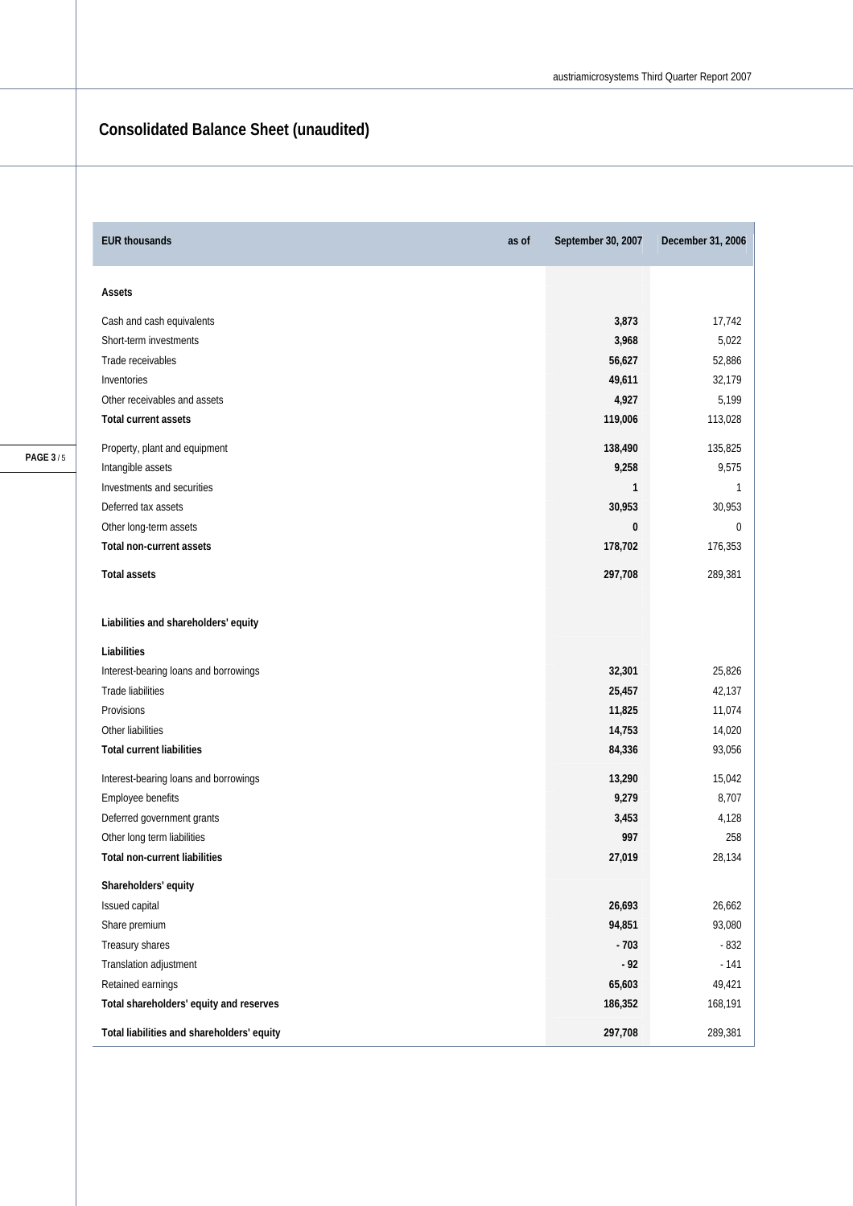### **Consolidated Balance Sheet (unaudited)**

| <b>EUR thousands</b><br>as of              | September 30, 2007 | December 31, 2006 |
|--------------------------------------------|--------------------|-------------------|
| Assets                                     |                    |                   |
| Cash and cash equivalents                  | 3,873              | 17,742            |
| Short-term investments                     | 3,968              | 5,022             |
| Trade receivables                          | 56,627             | 52,886            |
| Inventories                                | 49,611             | 32,179            |
| Other receivables and assets               | 4,927              | 5,199             |
| Total current assets                       | 119,006            | 113,028           |
| Property, plant and equipment              | 138,490            | 135,825           |
| Intangible assets                          | 9,258              | 9,575             |
| Investments and securities                 | 1                  | 1                 |
| Deferred tax assets                        | 30,953             | 30,953            |
| Other long-term assets                     | 0                  | 0                 |
| Total non-current assets                   | 178,702            | 176,353           |
| <b>Total assets</b>                        | 297,708            | 289,381           |
| Liabilities and shareholders' equity       |                    |                   |
| Liabilities                                |                    |                   |
| Interest-bearing loans and borrowings      | 32,301             | 25,826            |
| Trade liabilities                          | 25,457             | 42,137            |
| Provisions                                 | 11,825             | 11,074            |
| Other liabilities                          | 14,753             | 14,020            |
| <b>Total current liabilities</b>           | 84,336             | 93,056            |
| Interest-bearing loans and borrowings      | 13,290             | 15,042            |
| Employee benefits                          | 9,279              | 8,707             |
| Deferred government grants                 | 3,453              | 4,128             |
| Other long term liabilities                | 997                | 258               |
| <b>Total non-current liabilities</b>       | 27,019             | 28,134            |
| Shareholders' equity                       |                    |                   |
| Issued capital                             | 26,693             | 26,662            |
| Share premium                              | 94,851             | 93,080            |
| Treasury shares                            | $-703$             | $-832$            |
| Translation adjustment                     | $-92$              | $-141$            |
| Retained earnings                          | 65,603             | 49,421            |
| Total shareholders' equity and reserves    | 186,352            | 168,191           |
| Total liabilities and shareholders' equity | 297,708            | 289,381           |

**PAGE 3** / 5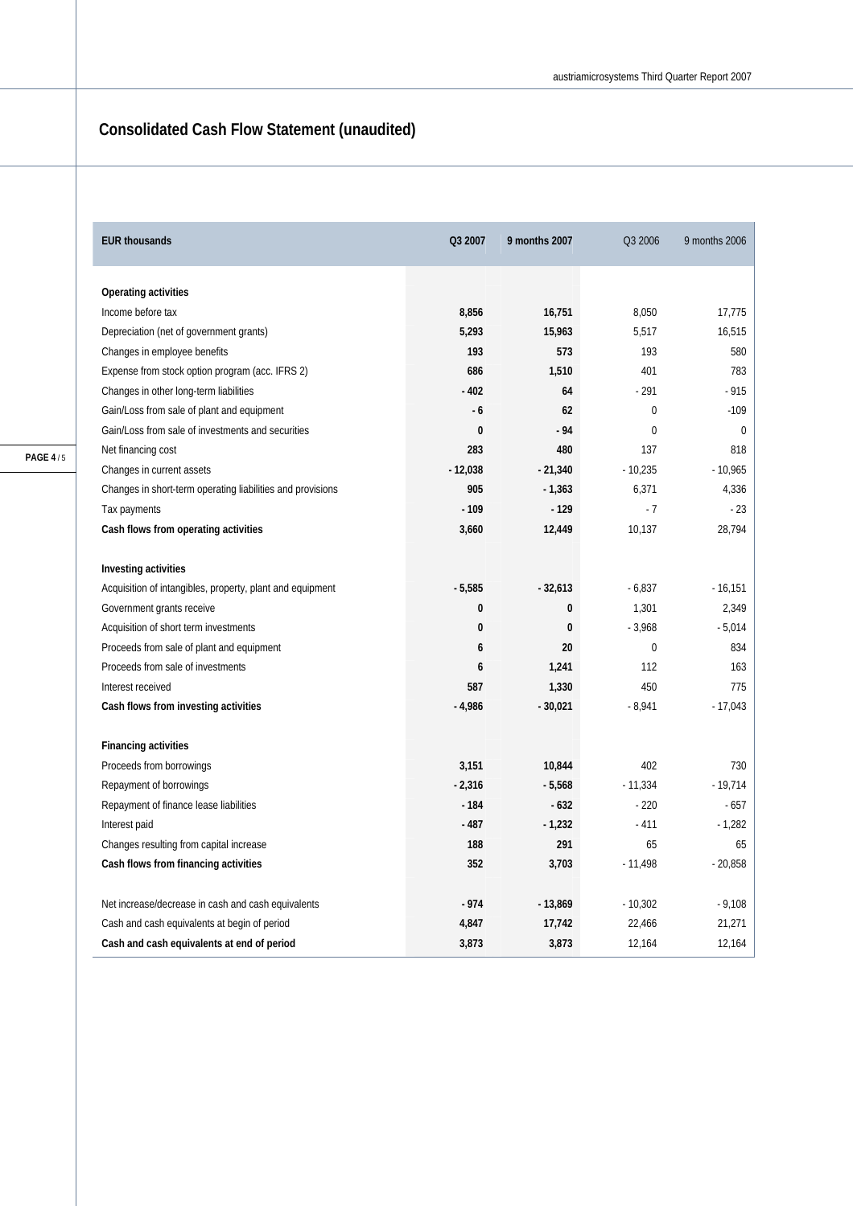## **Consolidated Cash Flow Statement (unaudited)**

| <b>EUR thousands</b>                                       | Q3 2007      | 9 months 2007 | Q3 2006     | 9 months 2006 |
|------------------------------------------------------------|--------------|---------------|-------------|---------------|
|                                                            |              |               |             |               |
| Operating activities                                       |              |               |             |               |
| Income before tax                                          | 8,856        | 16,751        | 8,050       | 17,775        |
| Depreciation (net of government grants)                    | 5,293        | 15,963        | 5,517       | 16,515        |
| Changes in employee benefits                               | 193          | 573           | 193         | 580           |
| Expense from stock option program (acc. IFRS 2)            | 686          | 1,510         | 401         | 783           |
| Changes in other long-term liabilities                     | $-402$       | 64            | $-291$      | $-915$        |
| Gain/Loss from sale of plant and equipment                 | $-6$         | 62            | $\Omega$    | $-109$        |
| Gain/Loss from sale of investments and securities          | $\bf{0}$     | $-94$         | $\mathbf 0$ | $\mathbf{0}$  |
| Net financing cost                                         | 283          | 480           | 137         | 818           |
| Changes in current assets                                  | $-12,038$    | $-21,340$     | $-10,235$   | $-10,965$     |
| Changes in short-term operating liabilities and provisions | 905          | $-1,363$      | 6,371       | 4,336         |
| Tax payments                                               | $-109$       | $-129$        | $-7$        | $-23$         |
| Cash flows from operating activities                       | 3,660        | 12,449        | 10,137      | 28,794        |
| Investing activities                                       |              |               |             |               |
| Acquisition of intangibles, property, plant and equipment  | $-5,585$     | $-32,613$     | $-6,837$    | $-16,151$     |
| Government grants receive                                  | 0            | 0             | 1,301       | 2,349         |
| Acquisition of short term investments                      | $\mathbf{0}$ | $\mathbf{0}$  | $-3,968$    | $-5,014$      |
| Proceeds from sale of plant and equipment                  | 6            | 20            | $\mathbf 0$ | 834           |
| Proceeds from sale of investments                          | 6            | 1,241         | 112         | 163           |
| Interest received                                          | 587          | 1,330         | 450         | 775           |
| Cash flows from investing activities                       | $-4,986$     | $-30,021$     | $-8,941$    | $-17,043$     |
| <b>Financing activities</b>                                |              |               |             |               |
| Proceeds from borrowings                                   | 3,151        | 10,844        | 402         | 730           |
| Repayment of borrowings                                    | $-2,316$     | $-5,568$      | $-11,334$   | $-19,714$     |
| Repayment of finance lease liabilities                     | $-184$       | $-632$        | $-220$      | $-657$        |
| Interest paid                                              | $-487$       | $-1,232$      | $-411$      | $-1,282$      |
| Changes resulting from capital increase                    | 188          | 291           | 65          | 65            |
| Cash flows from financing activities                       | 352          | 3,703         | $-11,498$   | $-20,858$     |
|                                                            |              |               |             |               |
| Net increase/decrease in cash and cash equivalents         | $-974$       | $-13,869$     | $-10,302$   | $-9,108$      |
| Cash and cash equivalents at begin of period               | 4,847        | 17,742        | 22,466      | 21,271        |
| Cash and cash equivalents at end of period                 | 3,873        | 3,873         | 12,164      | 12,164        |